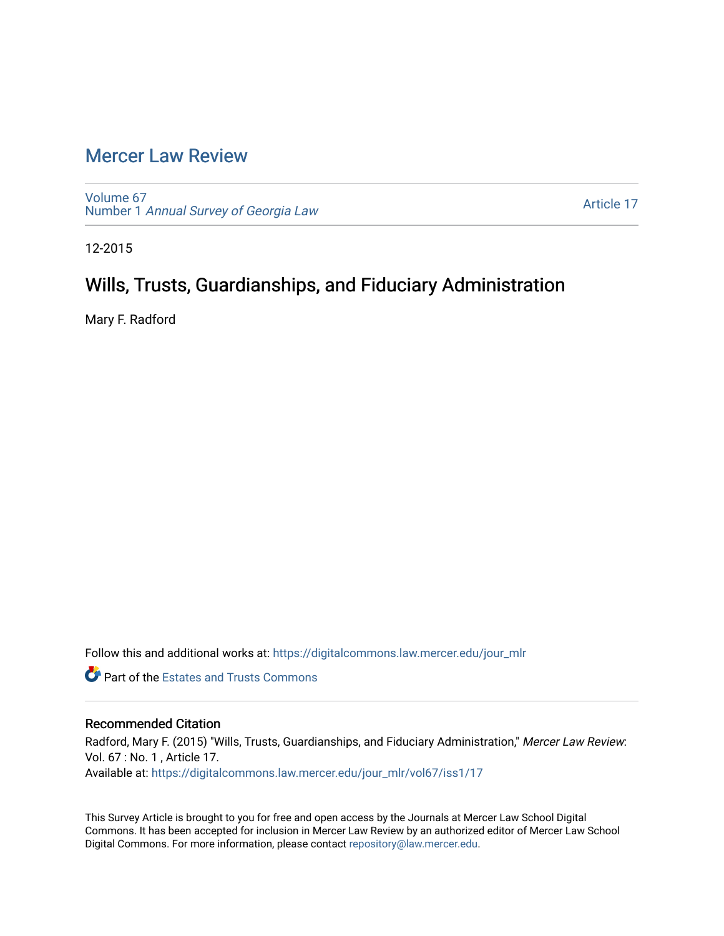# [Mercer Law Review](https://digitalcommons.law.mercer.edu/jour_mlr)

[Volume 67](https://digitalcommons.law.mercer.edu/jour_mlr/vol67) Number 1 [Annual Survey of Georgia Law](https://digitalcommons.law.mercer.edu/jour_mlr/vol67/iss1) 

[Article 17](https://digitalcommons.law.mercer.edu/jour_mlr/vol67/iss1/17) 

12-2015

# Wills, Trusts, Guardianships, and Fiduciary Administration

Mary F. Radford

Follow this and additional works at: [https://digitalcommons.law.mercer.edu/jour\\_mlr](https://digitalcommons.law.mercer.edu/jour_mlr?utm_source=digitalcommons.law.mercer.edu%2Fjour_mlr%2Fvol67%2Fiss1%2F17&utm_medium=PDF&utm_campaign=PDFCoverPages)

**Part of the Estates and Trusts Commons** 

# Recommended Citation

Radford, Mary F. (2015) "Wills, Trusts, Guardianships, and Fiduciary Administration," Mercer Law Review: Vol. 67 : No. 1 , Article 17. Available at: [https://digitalcommons.law.mercer.edu/jour\\_mlr/vol67/iss1/17](https://digitalcommons.law.mercer.edu/jour_mlr/vol67/iss1/17?utm_source=digitalcommons.law.mercer.edu%2Fjour_mlr%2Fvol67%2Fiss1%2F17&utm_medium=PDF&utm_campaign=PDFCoverPages) 

This Survey Article is brought to you for free and open access by the Journals at Mercer Law School Digital Commons. It has been accepted for inclusion in Mercer Law Review by an authorized editor of Mercer Law School Digital Commons. For more information, please contact [repository@law.mercer.edu](mailto:repository@law.mercer.edu).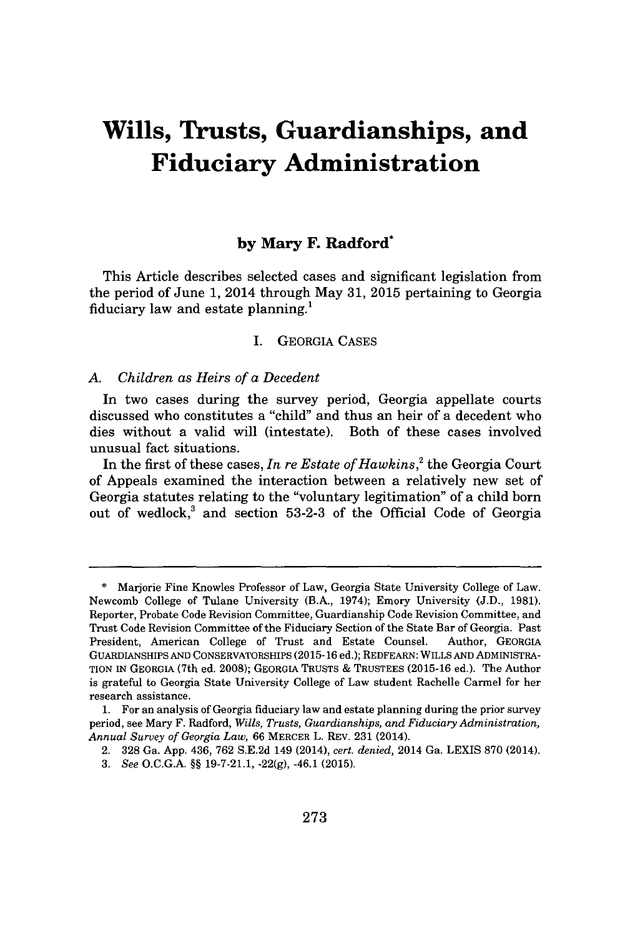# **Wills, Trusts, Guardianships, and Fiduciary Administration**

# **by Mary F. Radford\***

This Article describes selected cases and significant legislation from the period of June **1,** 2014 through May **31, 2015** pertaining to Georgia fiduciary law and estate planning.'

#### I. GEORGIA **CASES**

*A. Children as Heirs of a Decedent*

In two cases during the survey period, Georgia appellate courts discussed who constitutes a "child" and thus an heir of a decedent who dies without a valid will (intestate). Both of these cases involved unusual fact situations.

In the first of these cases, *In re Estate of Hawkins,<sup>2</sup>*the Georgia Court of Appeals examined the interaction between a relatively new set of Georgia statutes relating to the "voluntary legitimation" of a child born out of wedlock,<sup>3</sup>and section **53-2-3** of the Official Code of Georgia

**<sup>\*</sup>** Marjorie Fine Knowles Professor of Law, Georgia State University College of Law. Newcomb College of Tulane University (B.A., 1974); Emory University **(J.D., 1981).** Reporter, Probate Code Revision Committee, Guardianship Code Revision Committee, and Trust Code Revision Committee of the Fiduciary Section of the State Bar of Georgia. Past President, American College of Trust and Estate Counsel. Author, **GEORGIA** GUARDIANSHIPS **AND** CONSERVATORSHIPS **(2015-16** ed.); REDFEARN: WILLS **AND** ADMINISTRA-TION IN **GEORGIA** (7th ed. **2008);** GEORGIA **TRUSTS & TRUSTEES (2015-16** ed.). The Author is grateful to Georgia State University College of Law student Rachelle Carmel for her research assistance.

**<sup>1.</sup>** For an analysis of Georgia fiduciary law and estate planning during the prior survey period, see Mary F. Radford, *Wills, Trusts, Guardianships, and Fiduciary Administration, Annual Survey of Georgia Law,* **66** MERCER L. REV. **231** (2014).

<sup>2.</sup> **328** Ga. **App.** 436, **762 S.E.2d** 149 (2014), *cert. denied,* 2014 Ga. LEXIS **870** (2014).

*<sup>3.</sup> See* **O.C.G.A. §§ 19-7-21.1, -22(g),** -46.1 **(2015).**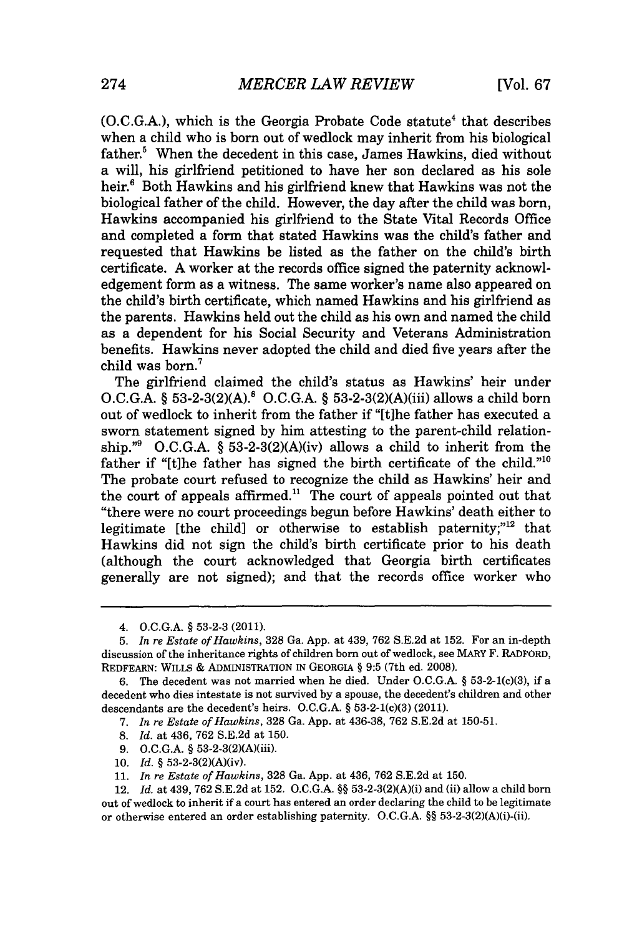(O.C.G.A.), which is the Georgia Probate Code statute<sup>4</sup> that describes when a child who is born out of wedlock may inherit from his biological father.<sup>5</sup> When the decedent in this case, James Hawkins, died without a will, his girlfriend petitioned to have her son declared as his sole heir.<sup>6</sup> Both Hawkins and his girlfriend knew that Hawkins was not the biological father of the child. However, the day after the child was born, Hawkins accompanied his girlfriend to the State Vital Records Office and completed a form that stated Hawkins was the child's father and requested that Hawkins be listed as the father on the child's birth certificate. **A** worker at the records office signed the paternity acknowledgement form as a witness. The same worker's name also appeared on the child's birth certificate, which named Hawkins and his girlfriend as the parents. Hawkins held out the child as his own and named the child as a dependent for his Social Security and Veterans Administration benefits. Hawkins never adopted the child and died five years after the child was born.

The girlfriend claimed the child's status as Hawkins' heir under **O.C.G.A.** *§* **53-2-3(2)(A).8 O.C.G.A.** *§* 53-2-3(2)(A)(iii) allows a child born out of wedlock to inherit from the father if "[t]he father has executed a sworn statement signed **by** him attesting to the parent-child relationship."<sup>9</sup> O.C.G.A.  $\S$  53-2-3(2)(A)(iv) allows a child to inherit from the father if "[t]he father has signed the birth certificate of the child."<sup>10</sup> The probate court refused to recognize the child as Hawkins' heir and the court of appeals affirmed.<sup>11</sup> The court of appeals pointed out that "there were no court proceedings begun before Hawkins' death either to legitimate [the child] or otherwise to establish paternity; $n<sup>12</sup>$  that Hawkins did not sign the child's birth certificate prior to his death (although the court acknowledged that Georgia birth certificates generally are not signed); and that the records office worker who

- *7. In re Estate of Hawkins,* **328** Ga. **App.** at **436-38, 762 S.E.2d** at **150-51.**
- **8.** *Id.* at 436, **762 S.E.2d** at **150.**
- **9. O.C.G.A. §** 53-2-3(2)(A)(iii).
- **10.** *Id.* **§** 53-2-3(2)(A)(iv).

<sup>4.</sup> **O.C.G.A. § 53-2-3** (2011).

**<sup>5.</sup>** *In re Estate of Hawkins,* **328** Ga. **App.** at 439, **762 S.E.2d** at **152.** For an in-depth discussion of the inheritance rights of children born out of wedlock, see MARY F. RADFORD, REDFEARN: WILLS **&** ADMINISTRATION **IN GEORGIA § 9:5** (7th ed. **2008).**

**<sup>6.</sup>** The decedent was not married when he died. Under **O.C.G.A. § 53-2-1(c)(3),** if a decedent who dies intestate is not survived **by** a spouse, the decedent's children and other descendants are the decedent's heirs. **O.C.G.A. §** 53-2-1(c)(3) (2011).

**<sup>11.</sup>** *In re Estate of Hawkins,* **328** Ga. **App.** at 436, **762 S.E.2d** at **150.**

<sup>12.</sup> *Id.* at 439, **762 S.E.2d** at **152. O.C.G.A. §§** 53-2-3(2)(A)(i) and (ii) allow a child born out of wedlock to inherit if a court has entered an order declaring the child to be legitimate or otherwise entered an order establishing paternity. **O.C.G.A. §§** 53-2-3(2)(A)(i)-(ii).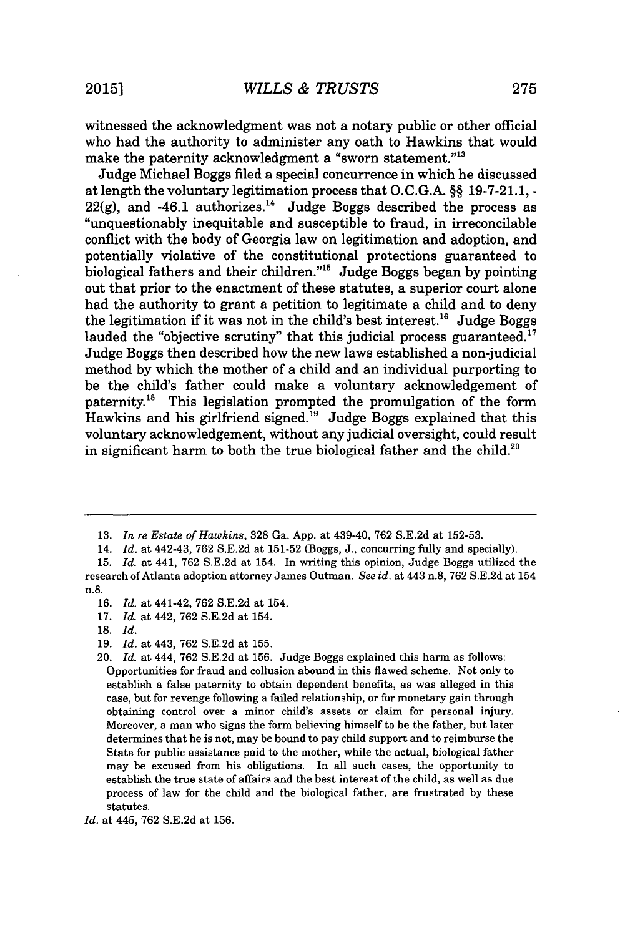witnessed the acknowledgment was not a notary public or other official who had the authority to administer any oath to Hawkins that would make the paternity acknowledgment a "sworn statement."<sup>13</sup>

Judge Michael Boggs filed a special concurrence in which he discussed at length the voluntary legitimation process that **O.C.G.A.** *§§* **19-7-21.1,**   $22(g)$ , and  $-46.1$  authorizes.<sup>14</sup> Judge Boggs described the process as "unquestionably inequitable and susceptible to fraud, in irreconcilable conflict with the body of Georgia law on legitimation and adoption, and potentially violative of the constitutional protections guaranteed to biological fathers and their children."" Judge Boggs began **by** pointing out that prior to the enactment of these statutes, a superior court alone had the authority to grant a petition to legitimate a child and to deny the legitimation if it was not in the child's best interest.<sup>16</sup> Judge Boggs lauded the "objective scrutiny" that this judicial process guaranteed.<sup>17</sup> Judge Boggs then described how the new laws established a non-judicial method **by** which the mother of a child and an individual purporting to be the child's father could make a voluntary acknowledgement of paternity.<sup>18</sup> This legislation prompted the promulgation of the form Hawkins and his girlfriend signed.<sup>19</sup> Judge Boggs explained that this voluntary acknowledgement, without any judicial oversight, could result in significant harm to both the true biological father and the child.<sup>20</sup>

**<sup>13.</sup>** *In re Estate of Hawkins,* **328** Ga. **App.** at 439-40, **762 S.E.2d** at **152-53.**

<sup>14.</sup> *Id.* at 442-43, **762 S.E.2d** at **151-52** (Boggs, *J.,* concurring **fully** and specially).

*<sup>15.</sup> Id.* at 441, **762 S.E.2d** at 154. In writing this opinion, Judge Boggs utilized the research of Atlanta adoption attorney James Outman. *See id.* at 443 n.8, **762 S.E.2d** at 154 n.8.

**<sup>16.</sup>** *Id.* at 441-42, **762 S.E.2d** at 154.

**<sup>17.</sup>** *Id.* at 442, **762 S.E.2d** at 154.

**<sup>18.</sup>** *Id.*

**<sup>19.</sup>** *Id.* at 443, **762 S.E.2d** at **155.**

<sup>20.</sup> *Id.* at 444, **762 S.E.2d** at **156.** Judge Boggs explained this harm as follows: Opportunities for fraud and collusion abound in this flawed scheme. Not only to establish a false paternity to obtain dependent benefits, as was alleged in this case, but for revenge following a failed relationship, or for monetary gain through obtaining control over a minor child's assets or claim for personal injury. Moreover, a man who signs the form believing himself to be the father, but later determines that he is not, may be bound to pay child support and to reimburse the State for public assistance paid to the mother, while the actual, biological father may be excused from his obligations. In all such cases, the opportunity to establish the true state of affairs and the best interest of the child, as well as due process of law for the child and the biological father, are frustrated **by** these statutes.

*Id.* at 445, **762 S.E.2d** at **156.**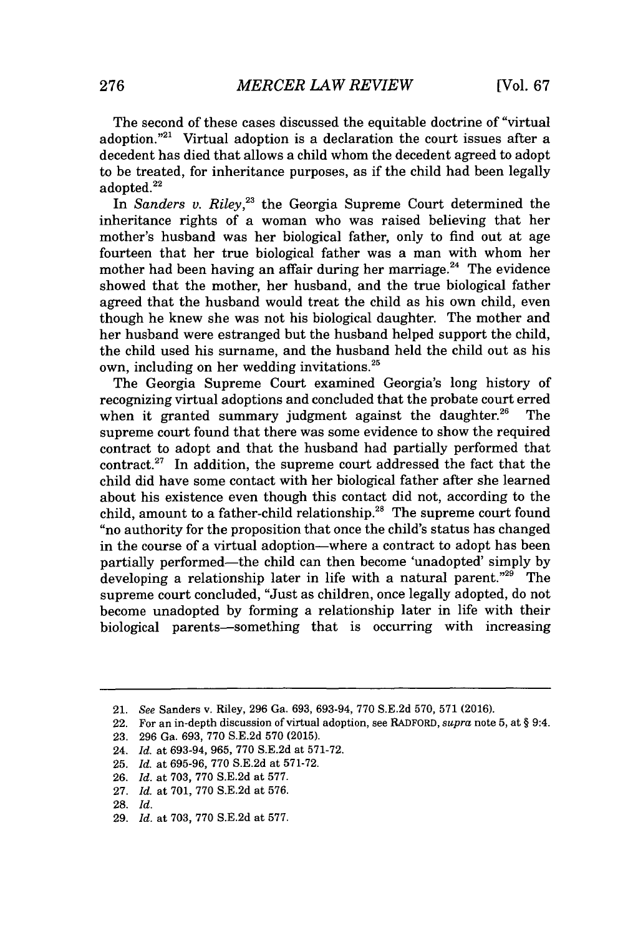The second of these cases discussed the equitable doctrine of "virtual adoption."<sup>21</sup> Virtual adoption is a declaration the court issues after a decedent has died that allows a child whom the decedent agreed to adopt to be treated, for inheritance purposes, as if the child had been legally adopted.<sup>22</sup>

*In Sanders v. Riley,23* the Georgia Supreme Court determined the inheritance rights of a woman who was raised believing that her mother's husband was her biological father, only to find out at age fourteen that her true biological father was a man with whom her mother had been having an affair during her marriage. $^{24}$  The evidence showed that the mother, her husband, and the true biological father agreed that the husband would treat the child as his own child, even though he knew she was not his biological daughter. The mother and her husband were estranged but the husband helped support the child, the child used his surname, and the husband held the child out as his own, including on her wedding invitations.<sup>25</sup>

The Georgia Supreme Court examined Georgia's long history of recognizing virtual adoptions and concluded that the probate court erred when it granted summary judgment against the daughter.<sup>26</sup> The supreme court found that there was some evidence to show the required contract to adopt and that the husband had partially performed that contract.<sup>27</sup> In addition, the supreme court addressed the fact that the child did have some contact with her biological father after she learned about his existence even though this contact did not, according to the child, amount to a father-child relationship.<sup>28</sup> The supreme court found "no authority for the proposition that once the child's status has changed in the course of a virtual adoption-where a contract to adopt has been partially performed-the child can then become 'unadopted' simply **by** developing a relationship later in life with a natural parent."<sup>29</sup> The supreme court concluded, "Just as children, once legally adopted, do not become unadopted **by** forming a relationship later in life with their biological parents-something that is occurring with increasing

<sup>21.</sup> *See* Sanders v. Riley, **296** Ga. **693, 693-94, 770 S.E.2d 570, 571 (2016).**

<sup>22.</sup> For an in-depth discussion of virtual adoption, see RADFORD, *supra* note **5,** at **§** 9:4.

**<sup>23. 296</sup>** Ga. **693, 770 S.E.2d 570 (2015).**

<sup>24.</sup> *Id.* at **693-94, 965, 770 S.E.2d** at **571-72.**

**<sup>25.</sup>** *Id.* at **695-96, 770 S.E.2d** at **571-72.**

**<sup>26.</sup>** *Id.* at **703, 770 S.E.2d** at **577.**

**<sup>27.</sup>** *Id.* at **701, 770 S.E.2d** at **576.**

**<sup>28.</sup>** *Id.*

**<sup>29.</sup>** *Id.* at **703, 770 S.E.2d** at **577.**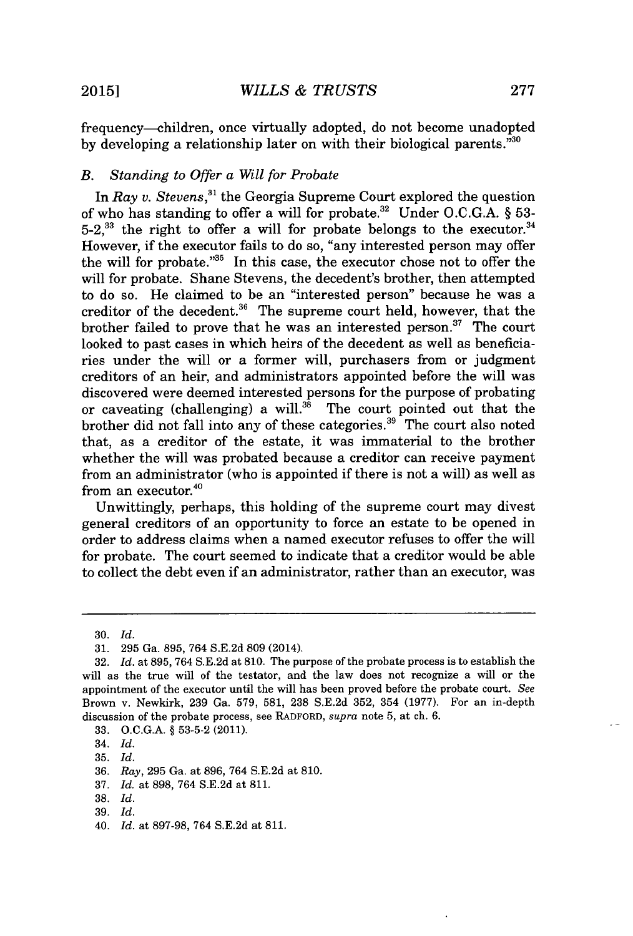frequency-children, once virtually adopted, do not become unadopted **by** developing a relationship later on with their biological parents."<sup>30</sup>

## *B. Standing to Offer a Will for Probate*

In *Ray v. Stevens*,<sup>31</sup> the Georgia Supreme Court explored the question of who has standing to offer a will for probate.3 2 Under **O.C.G.A.** *§* **53-** 5-2,<sup>33</sup> the right to offer a will for probate belongs to the executor.<sup>34</sup> However, if the executor fails to do so, "any interested person may offer the will for probate."<sup>35</sup> In this case, the executor chose not to offer the will for probate. Shane Stevens, the decedent's brother, then attempted to do so. He claimed to be an "interested person" because he was a creditor of the decedent. $3^6$  The supreme court held, however, that the brother failed to prove that he was an interested person.<sup>37</sup> The court looked to past cases in which heirs of the decedent as well as beneficiaries under the will or a former will, purchasers from or judgment creditors of an heir, and administrators appointed before the will was discovered were deemed interested persons for the purpose of probating or caveating (challenging) a will.<sup>38</sup> The court pointed out that the brother did not fall into any of these categories.<sup>39</sup> The court also noted that, as a creditor of the estate, it was immaterial to the brother whether the will was probated because a creditor can receive payment from an administrator (who is appointed if there is not a will) as well as from an executor.<sup>40</sup>

Unwittingly, perhaps, this holding of the supreme court may divest general creditors of an opportunity to force an estate to be opened in order to address claims when a named executor refuses to offer the will for probate. The court seemed to indicate that a creditor would be able to collect the debt even if an administrator, rather than an executor, was

**<sup>30.</sup>** *Id.*

**<sup>31. 295</sup>** Ga. **895,** 764 **S.E.2d 809** (2014).

**<sup>32.</sup>** *Id.* at **895,** 764 **S.E.2d** at **810.** The purpose of the probate process is to establish the will as the true will of the testator, and the law does not recognize a will or the appointment of the executor until the will has been proved before the probate court. *See* Brown v. Newkirk, **239** Ga. **579, 581, 238 S.E.2d 352,** 354 **(1977).** For an in-depth discussion of the probate process, see RADFORD, *supra* note **5,** at ch. **6.**

**<sup>33.</sup> O.C.G.A. § 53-5-2** (2011).

<sup>34.</sup> *Id.*

**<sup>35.</sup>** *Id.*

**<sup>36.</sup>** *Ray,* **295** Ga. at **896,** 764 **S.E.2d** at **810.**

**<sup>37.</sup>** *Id.* at **898,** 764 **S.E.2d** at **811.**

**<sup>38.</sup>** *Id.*

**<sup>39.</sup>** *Id.*

<sup>40.</sup> *Id.* at **897-98,** 764 **S.E.2d** at **811.**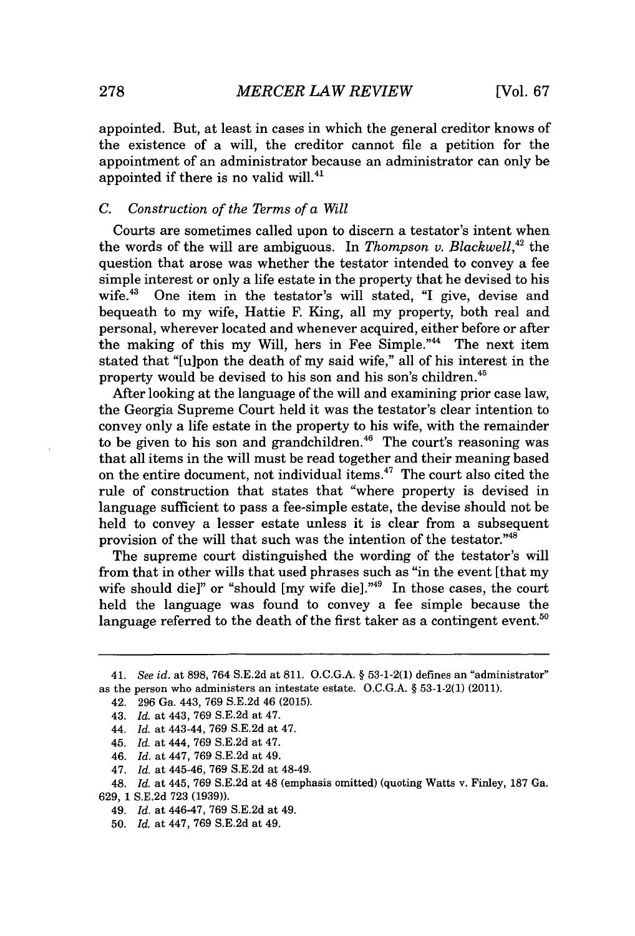appointed. But, at least in cases in which the general creditor knows of the existence of a will, the creditor cannot file a petition for the appointment of an administrator because an administrator can only be appointed if there is no valid will. $41$ 

## *C. Construction of the Terms of a Will*

Courts are sometimes called upon to discern a testator's intent when the words of the will are ambiguous. In *Thompson v. Blackwell*,<sup>42</sup> the question that arose was whether the testator intended to convey a fee simple interest or only a life estate in the property that he devised to his wife.<sup>43</sup> One item in the testator's will stated. "I give, devise and One item in the testator's will stated, "I give, devise and bequeath to my wife, Hattie F. King, all my property, both real and personal, wherever located and whenever acquired, either before or after the making of this my Will, hers in Fee Simple."<sup>44</sup> The next item stated that "[ulpon the death of my said wife," all of his interest in the property would be devised to his son and his son's children.<sup>45</sup>

After looking at the language of the will and examining prior case law, the Georgia Supreme Court held it was the testator's clear intention to convey only a life estate in the property to his wife, with the remainder to be given to his son and grandchildren.<sup>46</sup> The court's reasoning was that all items in the will must be read together and their meaning based on the entire document, not individual items. $47$  The court also cited the rule of construction that states that "where property is devised in language sufficient to pass a fee-simple estate, the devise should not be held to convey a lesser estate unless it is clear from a subsequent provision of the will that such was the intention of the testator."<sup>48</sup>

The supreme court distinguished the wording of the testator's will from that in other wills that used phrases such as "in the event [that my wife should die]" or "should  $[my$  wife die]."<sup>49</sup> In those cases, the court held the language was found to convey a fee simple because the language referred to the death of the first taker as a contingent event.<sup>50</sup>

- 44. *Id.* at 443-44, **769 S.E.2d** at 47.
- 45. *Id.* at 444, **769 S.E.2d** at 47.
- 46. *Id.* at 447, **769 S.E.2d** at 49.
- 47. *Id.* at 445-46, **769 S.E.2d** at 48-49.
- 48. *Id.* at 445, **769 S.E.2d** at 48 (emphasis omitted) (quoting Watts **v.** Finley, **187** Ga.
- **629, 1 S.E.2d 723 (1939)).**
	- 49. *Id.* at 446-47, **769 S.E.2d** at 49.
	- **50.** *Id.* at 447, **769 S.E.2d** at 49.

*<sup>41.</sup> See id. at* **898,** 764 **S.E.2d at 811. O.C.G.A. § 53-1-2(1)** defines an "administrator" as the person who administers an intestate estate. **O.C.G.A. § 53-1-2(1)** (2011).

<sup>42.</sup> **296** Ga. 443, **769 S.E.2d** 46 **(2015).**

<sup>43.</sup> *Id.* at 443, **769 S.E.2d** at 47.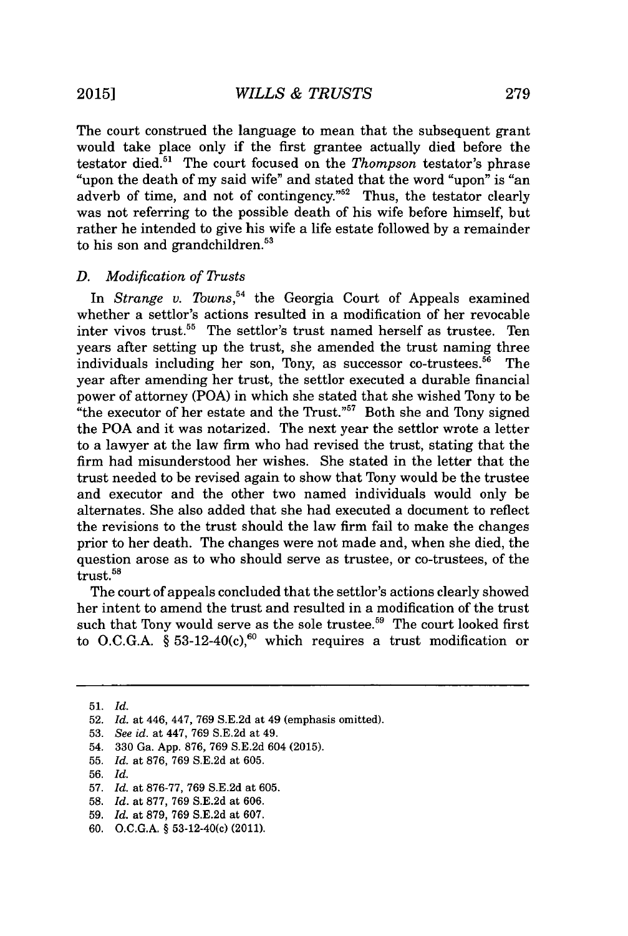The court construed the language to mean that the subsequent grant would take place only if the first grantee actually died before the testator died.<sup>51</sup> The court focused on the *Thompson* testator's phrase "upon the death of my said wife" and stated that the word "upon" is "an adverb of time, and not of contingency." $52$  Thus, the testator clearly was not referring to the possible death of his wife before himself, but rather he intended to give his wife a life estate followed **by** a remainder to his son and grandchildren. $53$ 

#### *D. Modification of Trusts*

In *Strange v. Towns*,<sup>54</sup> the Georgia Court of Appeals examined whether a settlor's actions resulted in a modification of her revocable inter vivos trust.<sup>55</sup> The settlor's trust named herself as trustee. Ten years after setting up the trust, she amended the trust naming three individuals including her son, Tony, as successor co-trustees. $56$  The year after amending her trust, the settlor executed a durable financial power of attorney (POA) in which she stated that she wished Tony to be "the executor of her estate and the Trust." $57$  Both she and Tony signed the POA and it was notarized. The next year the settlor wrote a letter to a lawyer at the law firm who had revised the trust, stating that the firm had misunderstood her wishes. She stated in the letter that the trust needed to be revised again to show that Tony would be the trustee and executor and the other two named individuals would only be alternates. She also added that she had executed a document to reflect the revisions to the trust should the law firm fail to make the changes prior to her death. The changes were not made and, when she died, the question arose as to who should serve as trustee, or co-trustees, of the trust.<sup>58</sup>

The court of appeals concluded that the settlor's actions clearly showed her intent to amend the trust and resulted in a modification of the trust such that Tony would serve as the sole trustee.<sup>59</sup> The court looked first to O.C.G.A.  $\zeta$  53-12-40(c),<sup>60</sup> which requires a trust modification or

**51.** *Id.*

**<sup>52.</sup>** *Id. at 446,* 447, **769 S.E.2d** at 49 (emphasis omitted).

**<sup>53.</sup>** *See id.* at 447, **769 S.E.2d** at 49.

<sup>54.</sup> **330** Ga. **App. 876, 769 S.E.2d** 604 **(2015).**

**<sup>55.</sup>** *Id.* at **876, 769 S.E.2d** at **605.**

**<sup>56.</sup>** *Id.*

**<sup>57.</sup>** *Id.* at **876-77, 769 S.E.2d** at **605.**

**<sup>58.</sup>** *Id.* at **877, 769 S.E.2d** at **606.**

**<sup>59.</sup>** *Id.* at **879, 769 S.E.2d** at **607.**

**<sup>60.</sup> O.C.G.A. §** 53-12-40(c) (2011).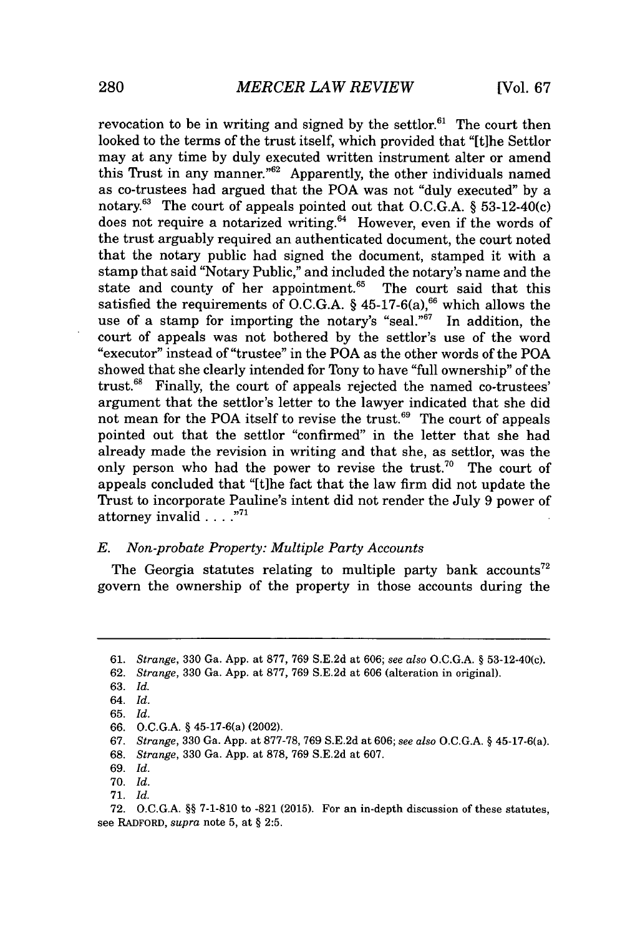revocation to be in writing and signed by the settlor.<sup>61</sup> The court then looked to the terms of the trust itself, which provided that "[tihe Settlor may at any time **by** duly executed written instrument alter or amend this Trust in any manner."<sup>62</sup> Apparently, the other individuals named as co-trustees had argued that the POA was not "duly executed" **by** a notary." The court of appeals pointed out that **O.C.G.A.** *§* 53-12-40(c) does not require a notarized writing. $64$  However, even if the words of the trust arguably required an authenticated document, the court noted that the notary public had signed the document, stamped it with a stamp that said "Notary Public," and included the notary's name and the state and county of her appointment. $65$  The court said that this satisfied the requirements of **O.C.G.A.** *§* 45-17-6(a), which allows the use of a stamp for importing the notary's "seal."<sup>67</sup> In addition, the court of appeals was not bothered **by** the settlor's use of the word "executor" instead of "trustee" in the POA as the other words of the POA showed that she clearly intended for Tony to have "full ownership" of the trust. $68$  Finally, the court of appeals rejected the named co-trustees' argument that the settlor's letter to the lawyer indicated that she did not mean for the POA itself to revise the trust. $69$  The court of appeals pointed out that the settlor "confirmed" in the letter that she had already made the revision in writing and that she, as settlor, was the only person who had the power to revise the trust.<sup>70</sup> The court of appeals concluded that "[t]he fact that the law firm did not update the Trust to incorporate Pauline's intent did not render the July **9** power of attorney invalid **....**

#### *E. Non-probate Property: Multiple Party Accounts*

The Georgia statutes relating to multiple party bank accounts<sup>72</sup> govern the ownership of the property in those accounts during the

- **67.** *Strange,* **330** Ga. **App.** at **877-78, 769 S.E.2d** at **606;** *see also* **O.C.G.A. §** 45-17-6(a).
- **68.** *Strange,* **330** Ga. **App.** at **878, 769 S.E.2d** at **607.**

**71.** *Id.*

**<sup>61.</sup>** *Strange,* **330** Ga. **App.** at **877, 769 S.E.2d** at **606;** *see also* **O.C.G.A. §** 53-12-40(c).

**<sup>62.</sup>** *Strange,* **330** Ga. **App.** at **877, 769 S.E.2d** at **606** (alteration in original).

**<sup>63.</sup>** *Id.*

<sup>64.</sup> *Id.*

**<sup>65.</sup>** *Id.*

**<sup>66.</sup> O.C.G.A. §** 45-17-6(a) (2002).

**<sup>69.</sup>** *Id.*

**<sup>70.</sup>** *Id.*

**<sup>72.</sup> O.C.G.A. §§ 7-1-810** to **-821 (2015).** For an in-depth discussion of these statutes, see **RADFORD,** *supra* note **5,** at **§ 2:5.**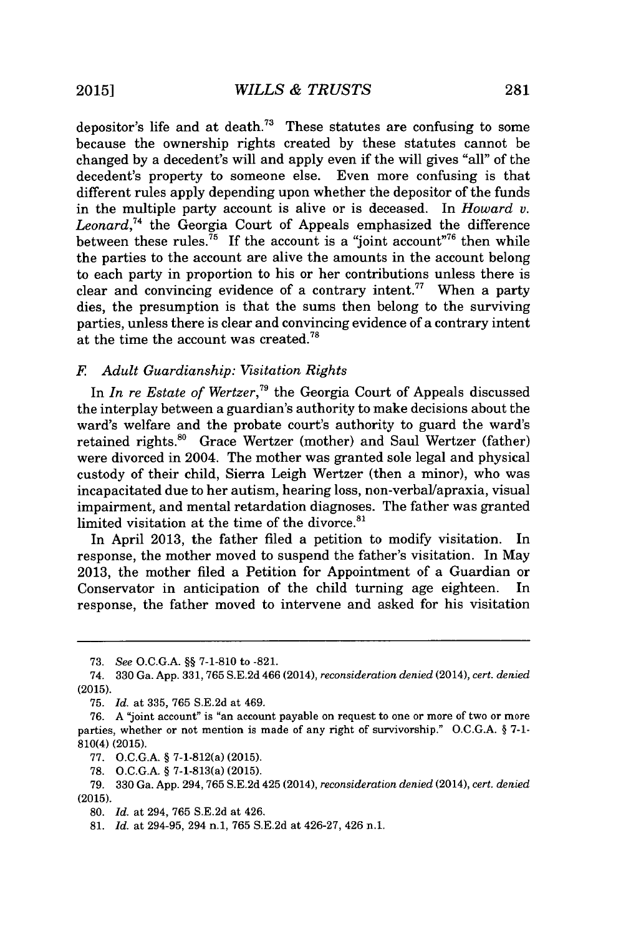depositor's life and at death.<sup>73</sup> These statutes are confusing to some because the ownership rights created **by** these statutes cannot be changed **by** a decedent's will and apply even if the will gives "all" of the decedent's property to someone else. Even more confusing is that different rules apply depending upon whether the depositor of the funds in the multiple party account is alive or is deceased. In *Howard v. Leonard,<sup>4</sup>*the Georgia Court of Appeals emphasized the difference between these rules.<sup>75</sup> If the account is a "joint account"<sup>76</sup> then while the parties to the account are alive the amounts in the account belong to each party in proportion to his or her contributions unless there is clear and convincing evidence of a contrary intent.<sup>77</sup> When a party dies, the presumption is that the sums then belong to the surviving parties, unless there is clear and convincing evidence of a contrary intent at the time the account was created.<sup>78</sup>

#### *F Adult Guardianship: Visitation Rights*

In *In re Estate of Wertzer*,<sup>79</sup> the Georgia Court of Appeals discussed the interplay between a guardian's authority to make decisions about the ward's welfare and the probate court's authority to guard the ward's retained rights.<sup>80</sup> Grace Wertzer (mother) and Saul Wertzer (father) were divorced in 2004. The mother was granted sole legal and physical custody of their child, Sierra Leigh Wertzer (then a minor), who was incapacitated due to her autism, hearing loss, non-verbal/apraxia, visual impairment, and mental retardation diagnoses. The father was granted limited visitation at the time of the divorce.<sup>81</sup>

In April **2013,** the father filed a petition to modify visitation. In response, the mother moved to suspend the father's visitation. In May **2013,** the mother filed a Petition for Appointment of a Guardian or Conservator in anticipation of the child turning age eighteen. response, the father moved to intervene and asked for his visitation

**<sup>73.</sup>** *See* **O.C.G.A. §§ 7-1-810** to **-821.**

*<sup>74.</sup>* **330** Ga. **App. 331, 765 S.E.2d** 466 (2014), *reconsideration denied (2014), cert. denied* **(2015).**

**<sup>75.</sup>** *Id. at* **335, 765 S.E.2d** at 469.

**<sup>76.</sup> A** "joint account" is "an account payable on request to one or more of two or more parties, whether or not mention is made of any right of survivorship." **O.C.G.A. § 7-1-** 810(4) **(2015).**

**<sup>77.</sup> O.C.G.A. §** 7-1-812(a) **(2015).**

**<sup>78.</sup> O.C.G.A. §** 7-1-813(a) **(2015).**

**<sup>79. 330</sup>** Ga. **App.** 294, **765 S.E.2d** 425 (2014), *reconsideration denied (2014), cert. denied* **(2015).**

**<sup>80.</sup>** *Id.* at 294, **765 S.E.2d** at 426.

**<sup>81.</sup>** *Id.* at 294-95, 294 n.1, **765 S.E.2d** at 426-27, 426 n.1.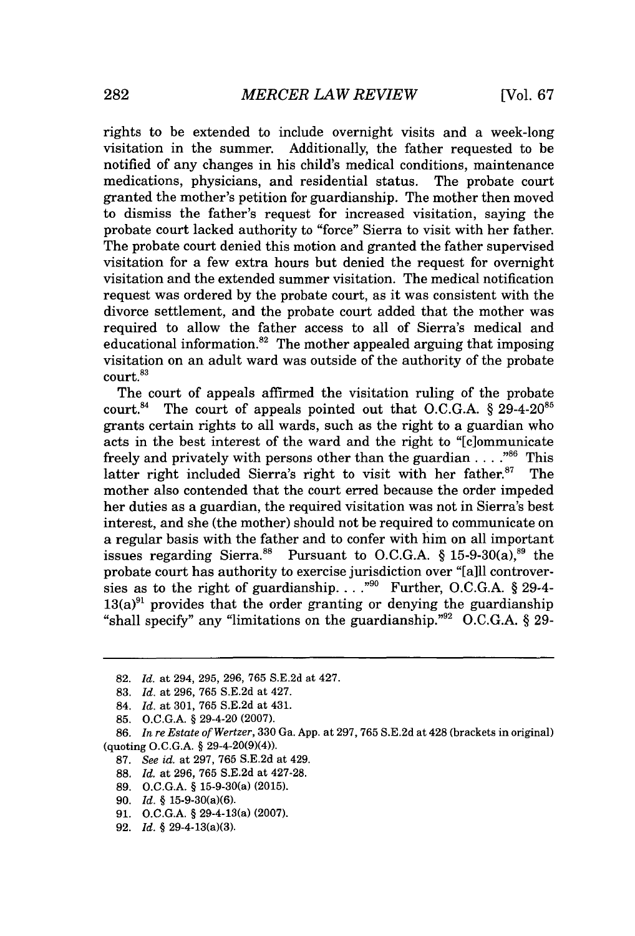rights to be extended to include overnight visits and a week-long visitation in the summer. Additionally, the father requested to be notified of any changes in his child's medical conditions, maintenance medications, physicians, and residential status. The probate court granted the mother's petition for guardianship. The mother then moved to dismiss the father's request for increased visitation, saying the probate court lacked authority to "force" Sierra to visit with her father. The probate court denied this motion and granted the father supervised visitation for a few extra hours but denied the request for overnight visitation and the extended summer visitation. The medical notification request was ordered **by** the probate court, as it was consistent with the divorce settlement, and the probate court added that the mother was required to allow the father access to all of Sierra's medical and educational information. $82$  The mother appealed arguing that imposing visitation on an adult ward was outside of the authority of the probate court.<sup>83</sup>

The court of appeals affirmed the visitation ruling of the probate court.<sup>84</sup> The court of appeals pointed out that O.C.G.A. § 29-4-20<sup>85</sup> grants certain rights to all wards, such as the right to a guardian who acts in the best interest of the ward and the right to "[c]ommunicate freely and privately with persons other than the guardian  $\ldots$ <sup>86</sup>. This latter right included Sierra's right to visit with her father.<sup>87</sup> The mother also contended that the court erred because the order impeded her duties as a guardian, the required visitation was not in Sierra's best interest, and she (the mother) should not be required to communicate on a regular basis with the father and to confer with him on all important issues regarding Sierra.<sup>88</sup> Pursuant to O.C.G.A.  $§$  15-9-30(a),<sup>89</sup> the probate court has authority to exercise jurisdiction over "[a]ll controversies as to the right of guardianship. **.. ."9** Further, **O.C.G.A.** *§* 29-4-  $13(a)^{91}$  provides that the order granting or denying the guardianship "shall specify" any "limitations on the guardianship."<sup>92</sup> O.C.G.A. § 29-

- 84. *Id. at* **301, 765 S.E.2d** *at* 431.
- **85. O.C.G.A. §** 29-4-20 **(2007).**

- **87.** *See id. at* **297, 765 S.E.2d** at 429.
- **88.** *Id. at* **296, 765 S.E.2d** at **427-28.**
- **89. O.C.G.A. §** 15-9-30(a) **(2015).**
- **90.** *Id.* **§** 15-9-30(a)(6).
- **91. O.C.G.A. §** 29-4-13(a) **(2007).**
- **92.** *Id.* **§** 29-4-13(a)(3).

**<sup>82.</sup>** *Id. at* 294, **295, 296, 765 S.E.2d** *at* 427.

**<sup>83.</sup>** *Id. at* **296, 765 S.E.2d** *at* 427.

**<sup>86.</sup>** *In re Estate of Wertzer,* **330** Ga. **App.** at **297, 765 S.E.2d** at 428 (brackets in original) (quoting **O.C.G.A. §** 29-4-20(9)(4)).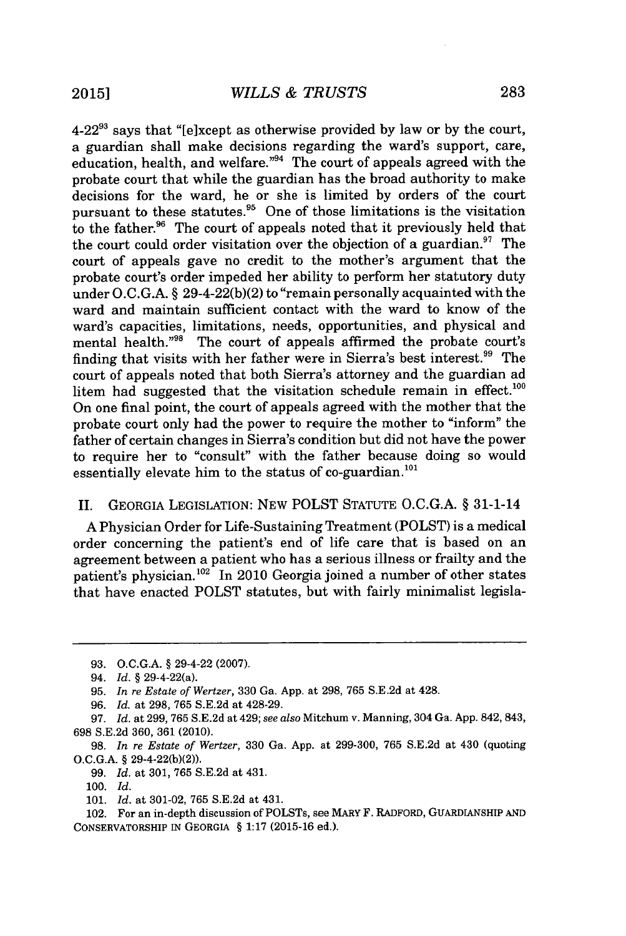4-22" says that "[e]xcept as otherwise provided **by** law or **by** the court, a guardian shall make decisions regarding the ward's support, care, education, health, and welfare."<sup>94</sup> The court of appeals agreed with the probate court that while the guardian has the broad authority to make decisions for the ward, he or she is limited **by** orders of the court pursuant to these statutes. $95$  One of those limitations is the visitation to the father.<sup>96</sup> The court of appeals noted that it previously held that the court could order visitation over the objection of a guardian. $^{97}$  The court of appeals gave no credit to the mother's argument that the probate court's order impeded her ability to perform her statutory duty under **O.C.G.A.** *§* 29-4-22(b)(2) to "remain personally acquainted with the ward and maintain sufficient contact with the ward to know of the ward's capacities, limitations, needs, opportunities, and physical and mental health."<sup>98</sup> The court of appeals affirmed the probate court's finding that visits with her father were in Sierra's best interest.<sup>99</sup> The court of appeals noted that both Sierra's attorney and the guardian ad litem had suggested that the visitation schedule remain in effect. $^{100}$ On one final point, the court of appeals agreed with the mother that the probate court only had the power to require the mother to "inform" the father of certain changes in Sierra's condition but did not have the power to require her to "consult" with the father because doing so would essentially elevate him to the status of co-guardian. $^{101}$ 

### II. GEORGIA LEGISLATION: **NEW** POLST **STATUTE O.C.G.A.** *§* 31-1-14

**A** Physician Order for Life-Sustaining Treatment (POLST) is a medical order concerning the patient's end of life care that is based on an agreement between a patient who has a serious illness or frailty and the patient's physician.<sup>102</sup> In 2010 Georgia joined a number of other states that have enacted POLST statutes, but with fairly minimalist legisla-

**<sup>93.</sup> O.C.G.A. §** 29-4-22 **(2007).**

<sup>94.</sup> *Id.* **§** 29-4-22(a).

**<sup>95.</sup>** *In re Estate of Wertzer,* **330** Ga. **App.** at **298, 765 S.E.2d** at 428.

*<sup>96.</sup> Id.* at **298, 765 S.E.2d** at 428-29.

**<sup>97.</sup>** *Id.* at **299, 765 S.E.2d** at 429; *see also* Mitchum v. Manning, 304 Ga. **App.** 842, 843, **698 S.E.2d 360, 361** (2010).

**<sup>98.</sup>** *In re Estate of Wertzer,* **330** Ga. **App.** at **299-300, 765 S.E.2d** at 430 (quoting **O.C.G.A. §** 29-4-22(b)(2)).

**<sup>99.</sup>** *Id.* at **301, 765 S.E.2d** at 431.

*<sup>100.</sup> Id.*

*<sup>101.</sup> Id.* at **301-02, 765 S.E.2d** at 431.

<sup>102.</sup> For an in-depth discussion of POLSTs, see MARY F. RADFORD, GUARDIANSHIP **AND** CONSERVATORSHIP **IN GEORGIA § 1:17 (2015-16** ed.).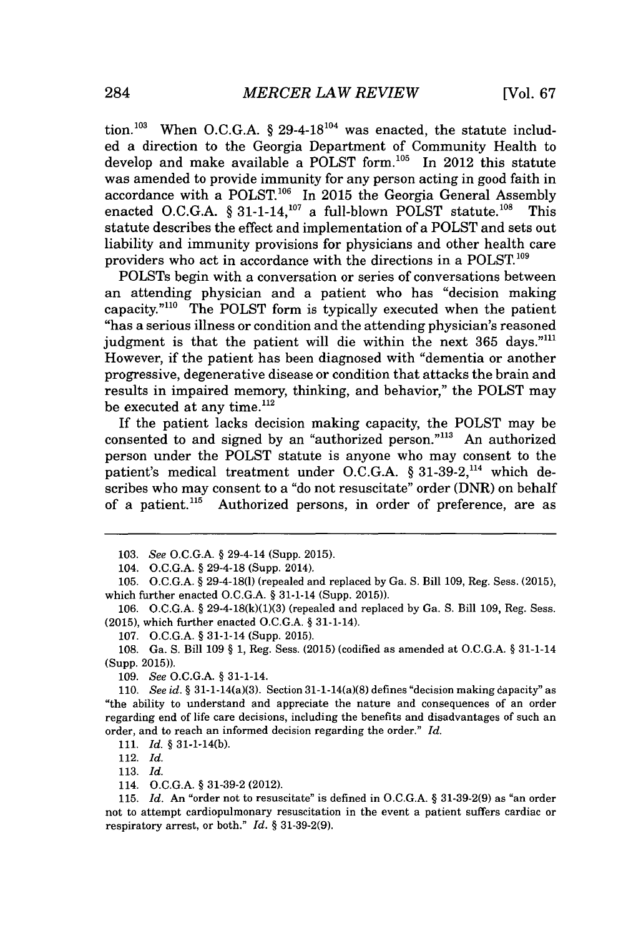tion.<sup>103</sup> When O.C.G.A.  $\S$  29-4-18<sup>104</sup> was enacted, the statute included a direction to the Georgia Department of Community Health to develop and make available a POLST form. $105$  In 2012 this statute was amended to provide immunity for any person acting in good faith in accordance with a POLST.<sup>106</sup> In 2015 the Georgia General Assembly enacted O.C.G.A. § 31-1-14,<sup>107</sup> a full-blown POLST statute.<sup>108</sup> This statute describes the effect and implementation of a POLST and sets out liability and immunity provisions for physicians and other health care providers who act in accordance with the directions in a **POLST.'<sup>0</sup>**

POLSTs begin with a conversation or series of conversations between an attending physician and a patient who has "decision making capacity."<sup>110</sup> The POLST form is typically executed when the patient "has a serious illness or condition and the attending physician's reasoned judgment is that the patient will die within the next **365** days." However, if the patient has been diagnosed with "dementia or another progressive, degenerative disease or condition that attacks the brain and results in impaired memory, thinking, and behavior," the POLST may be executed at any time.<sup>112</sup>

If the patient lacks decision making capacity, the POLST may be consented to and signed **by** an "authorized person."' An authorized person under the POLST statute is anyone who may consent to the patient's medical treatment under **O.C.G.A.** *§* **31-39-2,114** which describes who may consent to a "do not resuscitate" order (DNR) on behalf of a patient.<sup>115</sup> Authorized persons, in order of preference, are as

**111.** *Id. §* 31-1-14(b).

112. *Id.*

**113.** *Id.*

*<sup>103.</sup> See* **O.C.G.A. §** 29-4-14 (Supp. **2015).**

<sup>104.</sup> **O.C.G.A. §** 29-4-18 (Supp. 2014).

**<sup>105.</sup> O.C.G.A. §** 29-4-18(1) (repealed and replaced **by** Ga. **S.** Bill **109,** Reg. Sess. **(2015),** which further enacted **O.C.G.A. §** 31-1-14 (Supp. **2015)).**

**<sup>106.</sup> O.C.G.A. § 29-4-18(k)(1)(3)** (repealed and replaced **by** Ga. **S.** Bill **109,** Reg. Sess. **(2015),** which further enacted **O.C.G.A. §** 31-1-14).

**<sup>107.</sup> O.C.G.A. §** 31-1-14 (Supp. **2015).**

**<sup>108.</sup>** Ga. **S.** Bill **109 § 1,** Reg. Sess. **(2015)** (codified as amended at **O.C.G.A. §** 31-1-14 (Supp. **2015)).**

*<sup>109.</sup> See* **O.C.G.A. §** 31-1-14.

*<sup>110.</sup> See id.* **§** 31-1-14(a)(3). Section 31-1-14(a)(8) defines "decision making dapacity" as "the ability to understand and appreciate the nature and consequences of an order regarding end of life care decisions, including the benefits and disadvantages of such an order, and to reach an informed decision regarding the order." *Id.*

<sup>114.</sup> **O.C.G.A. § 31-39-2** (2012).

**<sup>115.</sup>** *Id.* An "order not to resuscitate" is defined in **O.C.G.A. § 31-39-2(9)** as "an order not to attempt cardiopulmonary resuscitation in the event a patient suffers cardiac or respiratory arrest, or both." *Id. §* **31-39-2(9).**